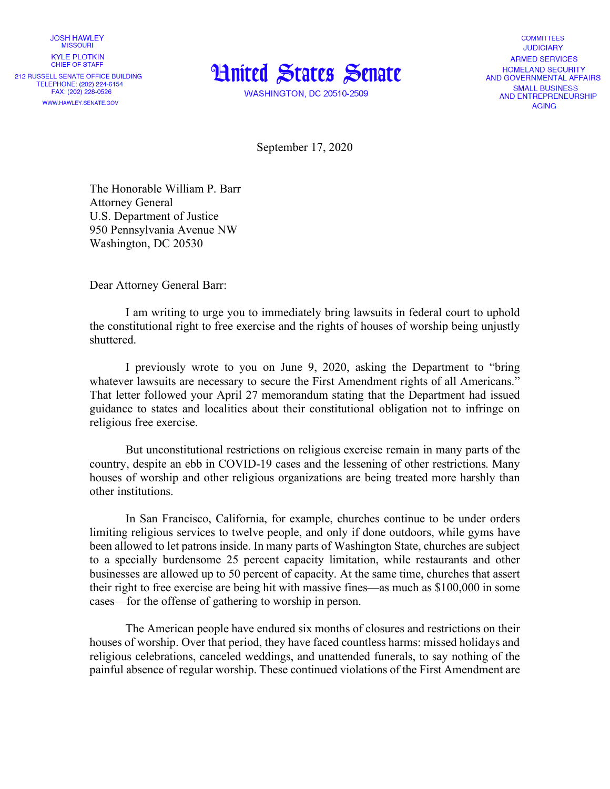**JOSH HAWLEY MISSOURI KYLE PLOTKIN** CHIFF OF STAFF

212 RUSSELL SENATE OFFICE BUILDING TELEPHONE: (202) 224-6154 FAX: (202) 228-0526 WWW.HAWLEY.SENATE.GOV



**WASHINGTON, DC 20510-2509** 

**COMMITTEES JUDICIARY** ARMED SERVICES **HOMELAND SECURITY** AND GOVERNMENTAL AFFAIRS **SMALL BUSINESS** AND ENTREPRENEURSHIP **AGING** 

September 17, 2020

The Honorable William P. Barr Attorney General U.S. Department of Justice 950 Pennsylvania Avenue NW Washington, DC 20530

Dear Attorney General Barr:

I am writing to urge you to immediately bring lawsuits in federal court to uphold the constitutional right to free exercise and the rights of houses of worship being unjustly shuttered.

I previously wrote to you on June 9, 2020, asking the Department to "bring whatever lawsuits are necessary to secure the First Amendment rights of all Americans." That letter followed your April 27 memorandum stating that the Department had issued guidance to states and localities about their constitutional obligation not to infringe on religious free exercise.

But unconstitutional restrictions on religious exercise remain in many parts of the country, despite an ebb in COVID-19 cases and the lessening of other restrictions. Many houses of worship and other religious organizations are being treated more harshly than other institutions.

In San Francisco, California, for example, churches continue to be under orders limiting religious services to twelve people, and only if done outdoors, while gyms have been allowed to let patrons inside. In many parts of Washington State, churches are subject to a specially burdensome 25 percent capacity limitation, while restaurants and other businesses are allowed up to 50 percent of capacity. At the same time, churches that assert their right to free exercise are being hit with massive fines—as much as \$100,000 in some cases—for the offense of gathering to worship in person.

The American people have endured six months of closures and restrictions on their houses of worship. Over that period, they have faced countless harms: missed holidays and religious celebrations, canceled weddings, and unattended funerals, to say nothing of the painful absence of regular worship. These continued violations of the First Amendment are